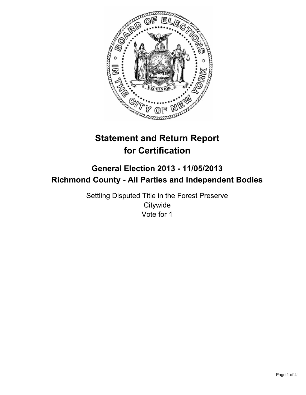

# **Statement and Return Report for Certification**

## **General Election 2013 - 11/05/2013 Richmond County - All Parties and Independent Bodies**

Settling Disputed Title in the Forest Preserve **Citywide** Vote for 1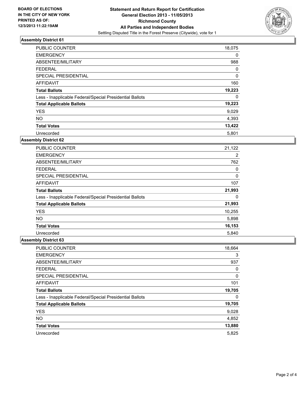

### **Assembly District 61**

| <b>PUBLIC COUNTER</b>                                    | 18,075 |
|----------------------------------------------------------|--------|
| <b>EMERGENCY</b>                                         | 0      |
| ABSENTEE/MILITARY                                        | 988    |
| <b>FEDERAL</b>                                           | 0      |
| SPECIAL PRESIDENTIAL                                     | 0      |
| AFFIDAVIT                                                | 160    |
| <b>Total Ballots</b>                                     | 19,223 |
| Less - Inapplicable Federal/Special Presidential Ballots | 0      |
| <b>Total Applicable Ballots</b>                          | 19,223 |
| <b>YES</b>                                               | 9,029  |
| <b>NO</b>                                                | 4,393  |
| <b>Total Votes</b>                                       | 13,422 |
| Unrecorded                                               | 5,801  |

#### **Assembly District 62**

| <b>PUBLIC COUNTER</b>                                    | 21,122 |
|----------------------------------------------------------|--------|
| <b>EMERGENCY</b>                                         | 2      |
| ABSENTEE/MILITARY                                        | 762    |
| <b>FEDERAL</b>                                           | 0      |
| <b>SPECIAL PRESIDENTIAL</b>                              | 0      |
| AFFIDAVIT                                                | 107    |
| <b>Total Ballots</b>                                     | 21,993 |
| Less - Inapplicable Federal/Special Presidential Ballots | 0      |
| <b>Total Applicable Ballots</b>                          | 21,993 |
| <b>YES</b>                                               | 10,255 |
| <b>NO</b>                                                | 5,898  |
| <b>Total Votes</b>                                       | 16,153 |
| Unrecorded                                               | 5,840  |

#### **Assembly District 63**

| PUBLIC COUNTER                                           | 18,664 |
|----------------------------------------------------------|--------|
| <b>EMERGENCY</b>                                         | 3      |
| ABSENTEE/MILITARY                                        | 937    |
| <b>FEDERAL</b>                                           | 0      |
| SPECIAL PRESIDENTIAL                                     | 0      |
| AFFIDAVIT                                                | 101    |
| <b>Total Ballots</b>                                     | 19,705 |
| Less - Inapplicable Federal/Special Presidential Ballots | 0      |
| <b>Total Applicable Ballots</b>                          | 19,705 |
| <b>YES</b>                                               | 9,028  |
| <b>NO</b>                                                | 4,852  |
| <b>Total Votes</b>                                       | 13,880 |
| Unrecorded                                               | 5,825  |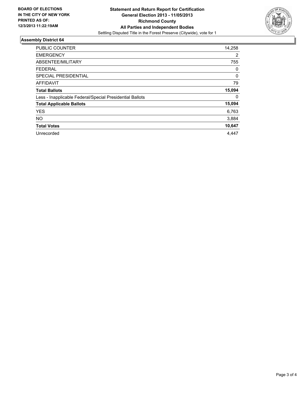

#### **Assembly District 64**

| <b>PUBLIC COUNTER</b>                                    | 14,258 |
|----------------------------------------------------------|--------|
| <b>EMERGENCY</b>                                         | 2      |
| ABSENTEE/MILITARY                                        | 755    |
| <b>FEDERAL</b>                                           | 0      |
| SPECIAL PRESIDENTIAL                                     | 0      |
| <b>AFFIDAVIT</b>                                         | 79     |
| <b>Total Ballots</b>                                     | 15,094 |
| Less - Inapplicable Federal/Special Presidential Ballots | 0      |
| <b>Total Applicable Ballots</b>                          | 15,094 |
| <b>YES</b>                                               | 6,763  |
| <b>NO</b>                                                | 3,884  |
| <b>Total Votes</b>                                       | 10,647 |
| Unrecorded                                               | 4,447  |